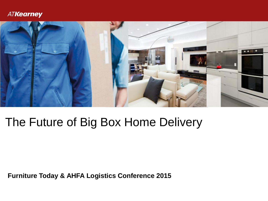

# The Future of Big Box Home Delivery

**Furniture Today & AHFA Logistics Conference 2015**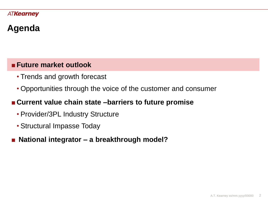# **Agenda**

# ■**Future market outlook**

- Trends and growth forecast
- Opportunities through the voice of the customer and consumer

# ■**Current value chain state –barriers to future promise**

- Provider/3PL Industry Structure
- Structural Impasse Today
- **National integrator – a breakthrough model?**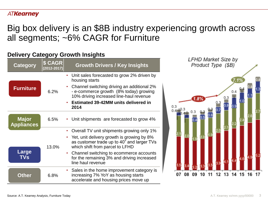# Big box delivery is an \$8B industry experiencing growth across all segments; ~6% CAGR for Furniture

### **Delivery Category Growth Insights**

| Category                          | <b>\$ CAGR</b><br>$(2012 - 2017)$ | <b>Growth Drivers / Key Insights</b>                                                                                                                                                                                                                     |
|-----------------------------------|-----------------------------------|----------------------------------------------------------------------------------------------------------------------------------------------------------------------------------------------------------------------------------------------------------|
| <b>Furniture</b>                  | 6.2%                              | • Unit sales forecasted to grow 2% driven by<br>housing starts<br>Channel switching driving an additional 2%<br>- e-commerce growth (8% today) growing<br>10% driving increased line-haul revenue<br><b>Estimated 39-42MM units delivered in</b><br>2014 |
| <b>Major</b><br><b>Appliances</b> | 6.5%                              | • Unit shipments are forecasted to grow 4%                                                                                                                                                                                                               |
|                                   |                                   | • Overall TV unit shipments growing only 1%                                                                                                                                                                                                              |
|                                   | 13.0%                             | Yet, unit delivery growth is growing by 8%<br>as customer trade up to 40" and larger TVs<br>which shift from parcel to LFHD                                                                                                                              |
| Large<br><b>TVs</b>               |                                   | Channel switching to ecommerce accounts<br>$\bullet$<br>for the remaining 3% and driving increased<br>line haul revenue                                                                                                                                  |
| <b>Other</b>                      | 6.8%                              | • Sales in the home improvement category is<br>increasing 7% YoY as housing starts<br>accelerate and housing prices move up                                                                                                                              |

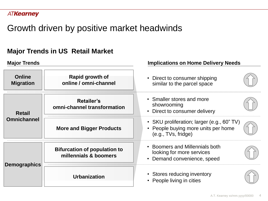# Growth driven by positive market headwinds

# **Major Trends in US Retail Market**

| <b>Major Trends</b>                 |                                                              | <b>Implications on Home Delivery Needs</b>                                                             |  |  |
|-------------------------------------|--------------------------------------------------------------|--------------------------------------------------------------------------------------------------------|--|--|
| <b>Online</b><br><b>Migration</b>   | Rapid growth of<br>online / omni-channel                     | • Direct to consumer shipping<br>similar to the parcel space                                           |  |  |
| <b>Retail</b><br><b>Omnichannel</b> | Retailer's<br>omni-channel transformation                    | • Smaller stores and more<br>showrooming<br>• Direct to consumer delivery                              |  |  |
|                                     | <b>More and Bigger Products</b>                              | • SKU proliferation; larger (e.g., 60" TV)<br>People buying more units per home<br>(e.g., TVs, fridge) |  |  |
| <b>Demographics</b>                 | <b>Bifurcation of population to</b><br>millennials & boomers | • Boomers and Millennials both<br>looking for more services<br>• Demand convenience, speed             |  |  |
|                                     | <b>Urbanization</b>                                          | • Stores reducing inventory<br>• People living in cities                                               |  |  |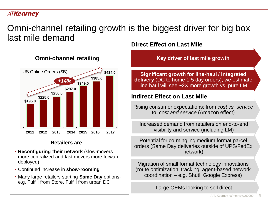# Omni-channel retailing growth is the biggest driver for big box last mile demand



#### **Retailers are**

- **Reconfiguring their network** (slow-movers more centralized and fast movers more forward deployed)
- Continued increase in **show-rooming**
- Many large retailers starting **Same Day** optionse.g. Fulfill from Store, Fulfill from urban DC

**Direct Effect on Last Mile**

**Key driver of last mile growth**

**Significant growth for line-haul / integrated delivery** (DC to home 1-5 day orders); we estimate line haul will see ~2X more growth vs. pure LM

#### **Indirect Effect on Last Mile**

Rising consumer expectations: from *cost vs. service* to *cost and service* (Amazon effect)

Increased demand from retailers on end-to-end visibility and service (including LM)

Potential for co-mingling medium format parcel orders (Same Day deliveries outside of UPS/FedEx network)

Migration of small format technology innovations (route optimization, tracking, agent-based network coordination – e.g. Shutl, Google Express)

Large OEMs looking to sell direct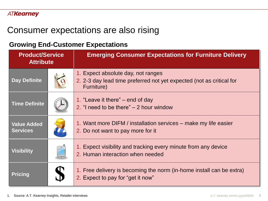# Consumer expectations are also rising

### **Growing End-Customer Expectations**

| <b>Product/Service</b><br><b>Attribute</b> |  | <b>Emerging Consumer Expectations for Furniture Delivery</b>                                                             |
|--------------------------------------------|--|--------------------------------------------------------------------------------------------------------------------------|
| <b>Day Definite</b>                        |  | 1. Expect absolute day, not ranges<br>2. 2-3 day lead time preferred not yet expected (not as critical for<br>Furniture) |
| <b>Time Definite</b>                       |  | 1. "Leave it there" – end of day<br>2. "I need to be there" $-$ 2 hour window                                            |
| <b>Value Added</b><br><b>Services</b>      |  | 1. Want more DIFM / installation services – make my life easier<br>2. Do not want to pay more for it                     |
| <b>Visibility</b>                          |  | 1. Expect visibility and tracking every minute from any device<br>2. Human interaction when needed                       |
| <b>Pricing</b>                             |  | 1. Free delivery is becoming the norm (in-home install can be extra)<br>2. Expect to pay for "get it now"                |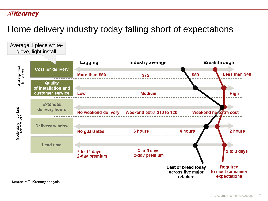Average 1 piece white-

# Home delivery industry today falling short of expectations



Source: A.T. Kearney analysis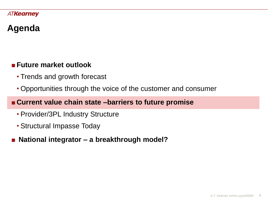# **Agenda**

# ■**Future market outlook**

- Trends and growth forecast
- Opportunities through the voice of the customer and consumer

# ■**Current value chain state –barriers to future promise**

- Provider/3PL Industry Structure
- Structural Impasse Today
- **National integrator – a breakthrough model?**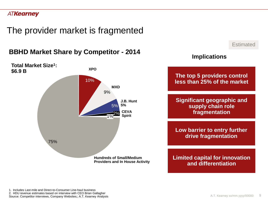The provider market is fragmented

**BBHD Market Share by Competitor - 2014**



**Estimated** 

### **Implications**

**The top 5 providers control less than 25% of the market**

**Significant geographic and supply chain role fragmentation**

**Low barrier to entry further drive fragmentation**

**Limited capital for innovation and differentiation**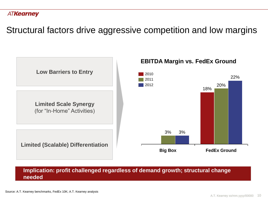Structural factors drive aggressive competition and low margins



**Implication: profit challenged regardless of demand growth; structural change needed**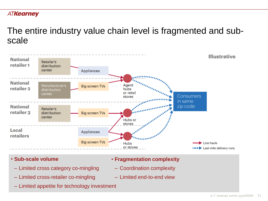# The entire industry value chain level is fragmented and subscale



- **Sub-scale volume**
	- Limited cross category co-mingling
	- Limited cross-retailer co-mingling
	- Limited appetite for technology investment
- **Fragmentation complexity**
	- ‒ Coordination complexity
	- ‒ Limited end-to-end view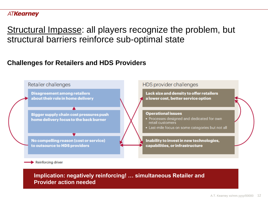Structural Impasse: all players recognize the problem, but structural barriers reinforce sub-optimal state

### **Challenges for Retailers and HDS Providers**



**Implication: negatively reinforcing! … simultaneous Retailer and Provider action needed**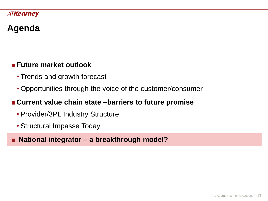# **Agenda**

# ■**Future market outlook**

- Trends and growth forecast
- Opportunities through the voice of the customer/consumer

# ■**Current value chain state –barriers to future promise**

- Provider/3PL Industry Structure
- Structural Impasse Today

# ■ **National integrator – a breakthrough model?**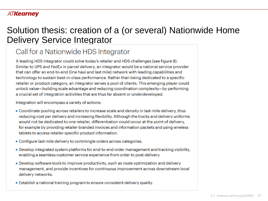# Solution thesis: creation of a (or several) Nationwide Home Delivery Service Integrator

# Call for a Nationwide HDS Integrator

A leading HDS integrator could solve today's retailer and HDS challenges (see figure 8). Similar to UPS and FedEx in parcel delivery, an integrator would be a national service provider that can offer an end-to-end (line haul and last mile) network with leading capabilities and technology to sustain best-in-class performance. Rather than being dedicated to a specific retailer or product category, an integrator serves a pool of clients. This emerging player could unlock value—building scale advantage and reducing coordination complexity—by performing a crucial set of integration activities that are thus far absent or underdeveloped.

Integration will encompass a variety of actions:

- Coordinate pooling across retailers to increase scale and density in last-mile delivery, thus reducing cost per delivery and increasing flexibility. Although the trucks and delivery uniforms would not be dedicated to one retailer, differentiation could occur at the point of delivery, for example by providing retailer-branded invoices and information packets and using wireless tablets to access retailer-specific product information.
- Configure last-mile delivery to commingle orders across categories.
- . Develop integrated system platforms for end-to-end order management and tracking visibility, enabling a seamless customer service experience from order to post-delivery.
- Develop software tools to improve productivity, such as route optimization and delivery management, and provide incentives for continuous improvement across downstream local delivery networks.
- . Establish a national training program to ensure consistent delivery quality.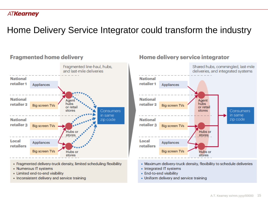# Home Delivery Service Integrator could transform the industry

#### Fragmented line-haul, hubs, and last-mile deliveries **National** retailer 1 Appliances **National** Agent retailer 2 hubs **Big screen TVs** or retail stores Consumers in same **National** zip code retailer 3 **Big screen TVs** 'Hubs stores Local Appliances retailers **Big screen TVs** Hubs or stores

- Fragmented delivery-truck density, limited scheduling flexibility
- Numerous IT systems
- Limited end-to-end visibility
- Inconsistent delivery and service training

**Fragmented home delivery** 

# Home delivery service integrator



- Maximum delivery-truck density, flexibility to schedule deliveries
- Integrated IT systems
- End-to-end visibility
- Uniform delivery and service training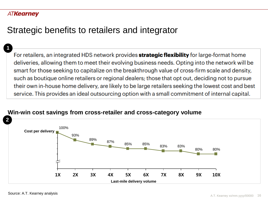**1**

# Strategic benefits to retailers and integrator

For retailers, an integrated HDS network provides strategic flexibility for large-format home deliveries, allowing them to meet their evolving business needs. Opting into the network will be smart for those seeking to capitalize on the breakthrough value of cross-firm scale and density, such as boutique online retailers or regional dealers; those that opt out, deciding not to pursue their own in-house home delivery, are likely to be large retailers seeking the lowest cost and best service. This provides an ideal outsourcing option with a small commitment of internal capital.



#### **Win-win cost savings from cross-retailer and cross-category volume**

Source: A.T. Kearney analysis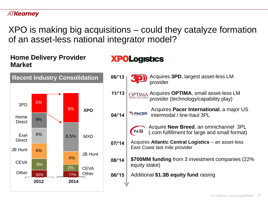XPO is making big acquisitions – could they catalyze formation of an asset-less national integrator model?

### **Home Delivery Provider Market**



# **XPOLogistics**

- Acquires **3PD**, largest asset-less LM provider
- OPTIMA Acquires **OPTIMA**, small asset-less LM **SERVICE SOLUTIONS** provider (technology/capability play) **11/'13**
	- Acquires **Pacer International**, a major US **TE PACER** intermodal / line-haul 3PL
	- Acquire **New Breed**, an omnichannel 3PL NB (.com fulfillment for large and small format)
- Acquires **Atlantic Central Logistics**  an asset-less East Coast last mile provider **07/'14**
- **08/'14 \$700MM funding** from 3 investment companies (22% equity stake)
- **06/'15** Additional **\$1.3B equity fund** raising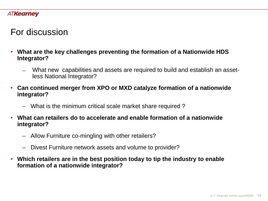# For discussion

- **What are the key challenges preventing the formation of a Nationwide HDS Integrator?**
	- ̶ What new capabilities and assets are required to build and establish an assetless National Integrator?
- **Can continued merger from XPO or MXD catalyze formation of a nationwide integrator?**
	- ‒ What is the minimum critical scale market share required ?
- **What can retailers do to accelerate and enable formation of a nationwide integrator?**
	- ‒ Allow Furniture co-mingling with other retailers?
	- ‒ Divest Furniture network assets and volume to provider?
- **Which retailers are in the best position today to tip the industry to enable formation of a nationwide integrator?**